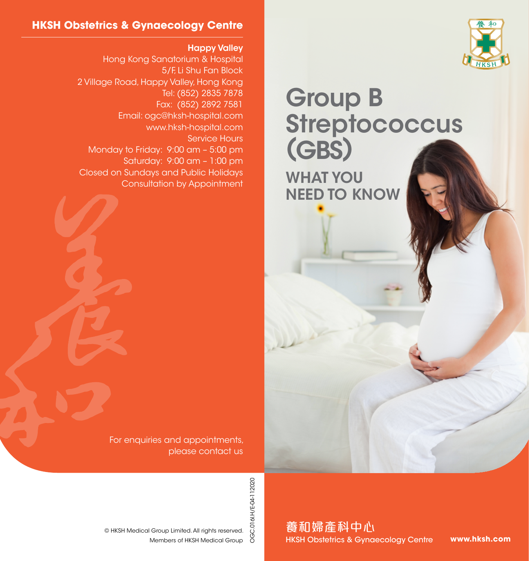

#### **HKSH Obstetrics & Gynaecology Centre**

#### Happy Valley

Hong Kong Sanatorium & Hospital 5/F, Li Shu Fan Block 2 Village Road, Happy Valley, Hong Kong Tel: (852) 2835 7878 Fax: (852) 2892 7581 Email: ogc@hksh-hospital.com www.hksh-hospital.com Service Hours Monday to Friday: 9:00 am – 5:00 pm Saturday: 9:00 am – 1:00 pm Closed on Sundays and Public Holidays Consultation by Appointment

Group B **Streptococcus** (GBS) WHAT YOU NEED TO KNOW

For enquiries and appointments,

please contact us

OGC.016I.H/E-04-112020 OGC.016I.H/E-04-112020

Members of HKSH Medical Group © HKSH Medical Group Limited. All rights reserved. 養和婦產科中心 HKSH Obstetrics & Gynaecology Centre

**www.hksh.com**